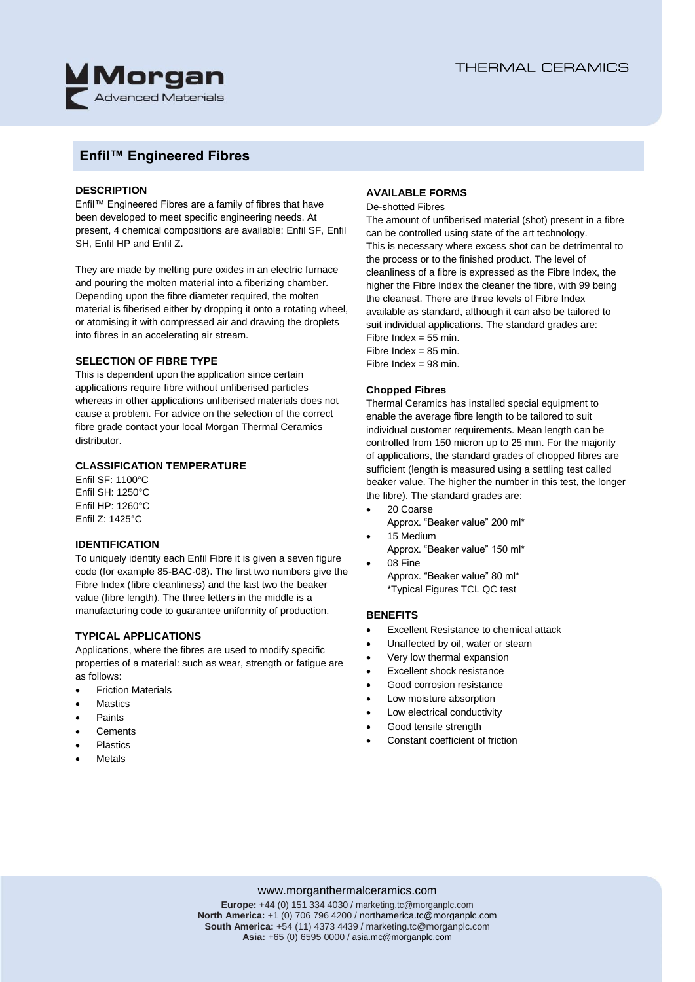

## **Enfil™ Engineered Fibres**

#### **DESCRIPTION**

Enfil™ Engineered Fibres are a family of fibres that have been developed to meet specific engineering needs. At present, 4 chemical compositions are available: Enfil SF, Enfil SH, Enfil HP and Enfil Z.

They are made by melting pure oxides in an electric furnace and pouring the molten material into a fiberizing chamber. Depending upon the fibre diameter required, the molten material is fiberised either by dropping it onto a rotating wheel, or atomising it with compressed air and drawing the droplets into fibres in an accelerating air stream.

#### **SELECTION OF FIBRE TYPE**

This is dependent upon the application since certain applications require fibre without unfiberised particles whereas in other applications unfiberised materials does not cause a problem. For advice on the selection of the correct fibre grade contact your local Morgan Thermal Ceramics distributor.

#### **CLASSIFICATION TEMPERATURE**

Enfil SF: 1100°C Enfil SH: 1250°C Enfil HP: 1260°C Enfil Z: 1425°C

#### **IDENTIFICATION**

To uniquely identity each Enfil Fibre it is given a seven figure code (for example 85-BAC-08). The first two numbers give the Fibre Index (fibre cleanliness) and the last two the beaker value (fibre length). The three letters in the middle is a manufacturing code to guarantee uniformity of production.

#### **TYPICAL APPLICATIONS**

Applications, where the fibres are used to modify specific properties of a material: such as wear, strength or fatigue are as follows:

- Friction Materials
- **Mastics**
- Paints
- **Cements**
- Plastics
- Metals

### **AVAILABLE FORMS**

#### De-shotted Fibres

The amount of unfiberised material (shot) present in a fibre can be controlled using state of the art technology. This is necessary where excess shot can be detrimental to the process or to the finished product. The level of cleanliness of a fibre is expressed as the Fibre Index, the higher the Fibre Index the cleaner the fibre, with 99 being the cleanest. There are three levels of Fibre Index available as standard, although it can also be tailored to suit individual applications. The standard grades are: Fibre Index =  $55$  min.

Fibre Index =  $85$  min. Fibre Index =  $98$  min.

#### **Chopped Fibres**

Thermal Ceramics has installed special equipment to enable the average fibre length to be tailored to suit individual customer requirements. Mean length can be controlled from 150 micron up to 25 mm. For the majority of applications, the standard grades of chopped fibres are sufficient (length is measured using a settling test called beaker value. The higher the number in this test, the longer the fibre). The standard grades are:

- 20 Coarse
- Approx. "Beaker value" 200 ml\* 15 Medium
- Approx. "Beaker value" 150 ml\*
- 08 Fine
- Approx. "Beaker value" 80 ml\* \*Typical Figures TCL QC test

#### **BENEFITS**

- Excellent Resistance to chemical attack
- Unaffected by oil, water or steam
- Very low thermal expansion
- Excellent shock resistance
- Good corrosion resistance
- Low moisture absorption
- Low electrical conductivity
- Good tensile strength
- Constant coefficient of friction